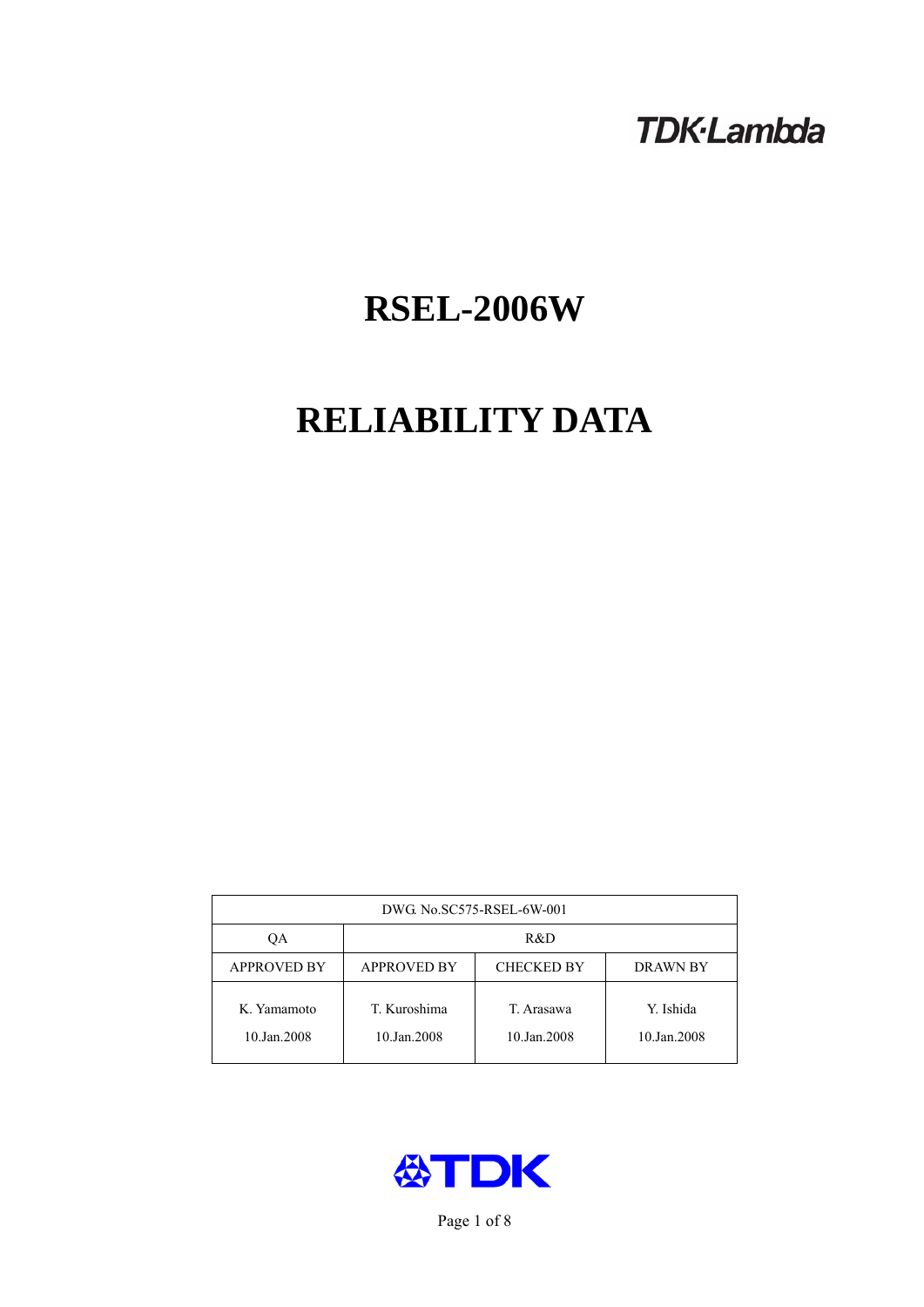## **TDK-Lambda**

# **RSEL-2006W**

## **RELIABILITY DATA**

| DWG No.SC575-RSEL-6W-001   |                                                            |                           |                          |  |  |
|----------------------------|------------------------------------------------------------|---------------------------|--------------------------|--|--|
| ОA                         | R&D                                                        |                           |                          |  |  |
| <b>APPROVED BY</b>         | <b>APPROVED BY</b><br><b>CHECKED BY</b><br><b>DRAWN BY</b> |                           |                          |  |  |
| K. Yamamoto<br>10.Jan.2008 | T. Kuroshima<br>10.Jan.2008                                | T. Arasawa<br>10.Jan.2008 | Y. Ishida<br>10.Jan.2008 |  |  |



Page 1 of 8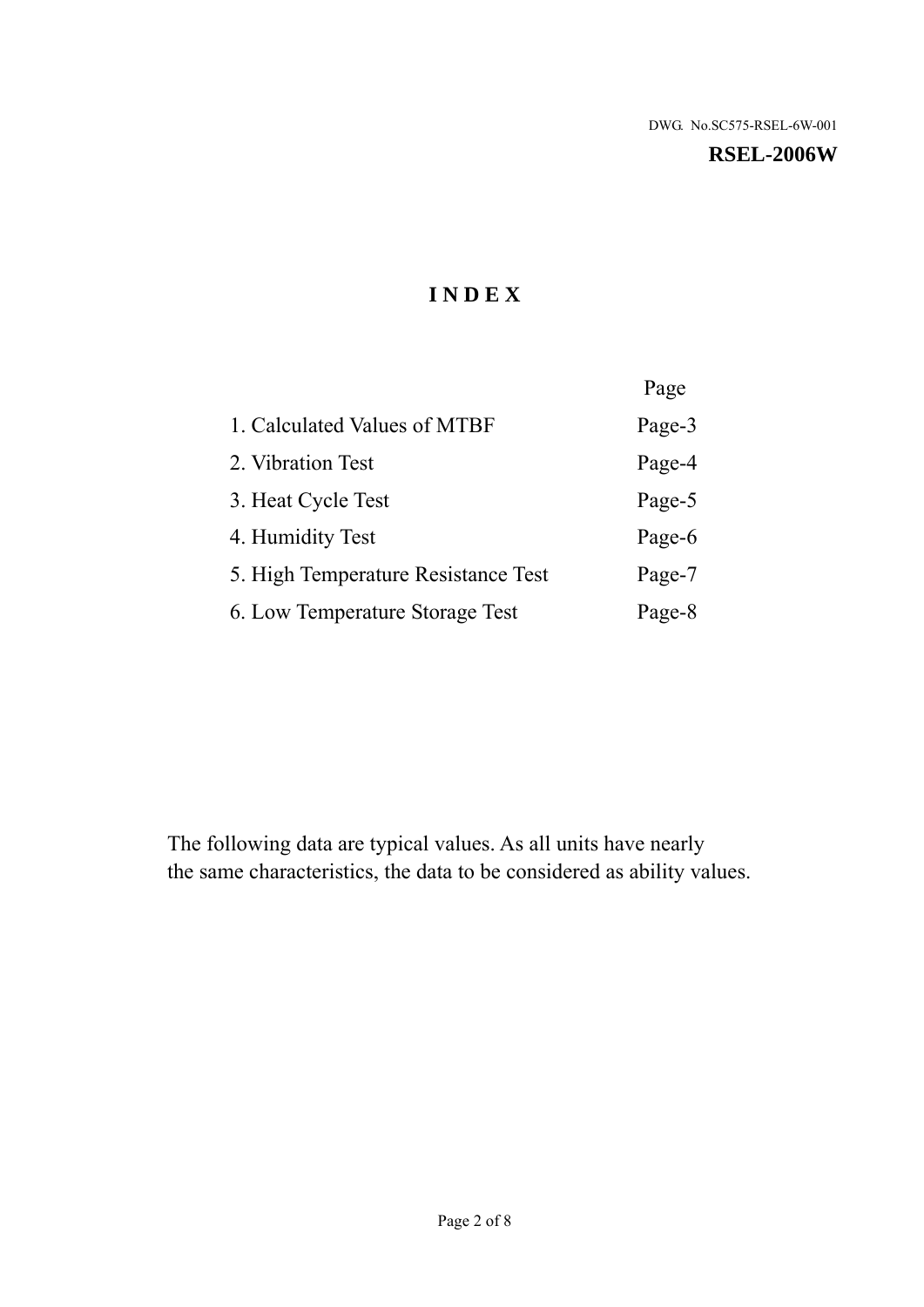#### **RSEL-2006W**

## **I N D E X**

|                                     | Page   |
|-------------------------------------|--------|
| 1. Calculated Values of MTBF        | Page-3 |
| 2. Vibration Test                   | Page-4 |
| 3. Heat Cycle Test                  | Page-5 |
| 4. Humidity Test                    | Page-6 |
| 5. High Temperature Resistance Test | Page-7 |
| 6. Low Temperature Storage Test     | Page-8 |

The following data are typical values. As all units have nearly the same characteristics, the data to be considered as ability values.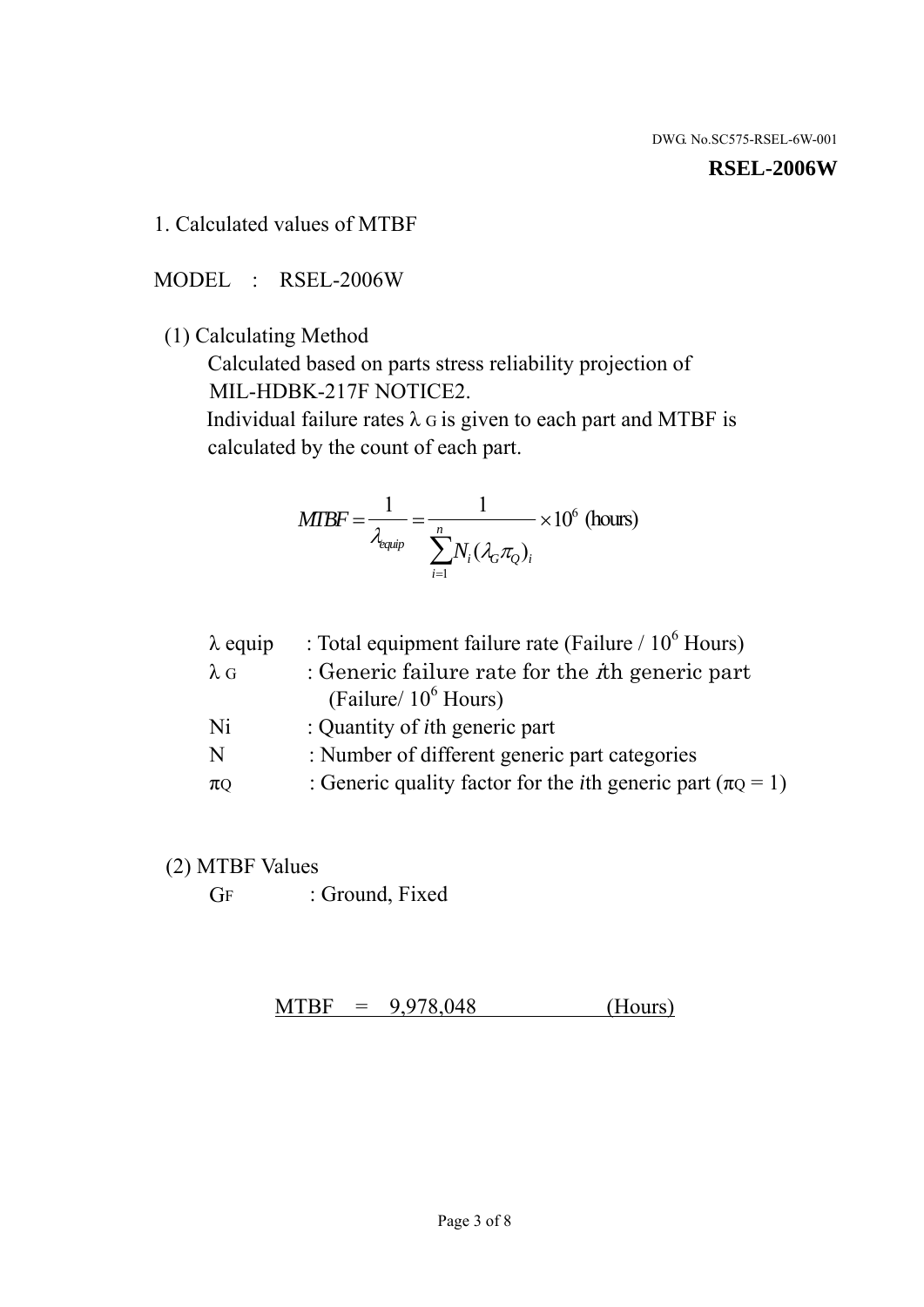#### **RSEL-2006W**

1. Calculated values of MTBF

MODEL : RSEL-2006W

(1) Calculating Method

 Calculated based on parts stress reliability projection of MIL-HDBK-217F NOTICE2.

Individual failure rates  $\lambda$  G is given to each part and MTBF is calculated by the count of each part.

$$
MTBF = \frac{1}{\lambda_{\text{equip}}} = \frac{1}{\sum_{i=1}^{n} N_i (\lambda_G \pi_Q)_i} \times 10^6 \text{ (hours)}
$$

| $\lambda$ equip | : Total equipment failure rate (Failure $/ 10^6$ Hours)                   |
|-----------------|---------------------------------------------------------------------------|
| $\lambda$ G     | : Generic failure rate for the $\hbar$ generic part                       |
|                 | (Failure/ $10^6$ Hours)                                                   |
| Ni              | : Quantity of <i>i</i> th generic part                                    |
| N               | : Number of different generic part categories                             |
| $\pi$ Q         | : Generic quality factor for the <i>i</i> th generic part ( $\pi Q = 1$ ) |

- (2) MTBF Values
	- GF : Ground, Fixed

 $MTBF = 9,978,048$  (Hours)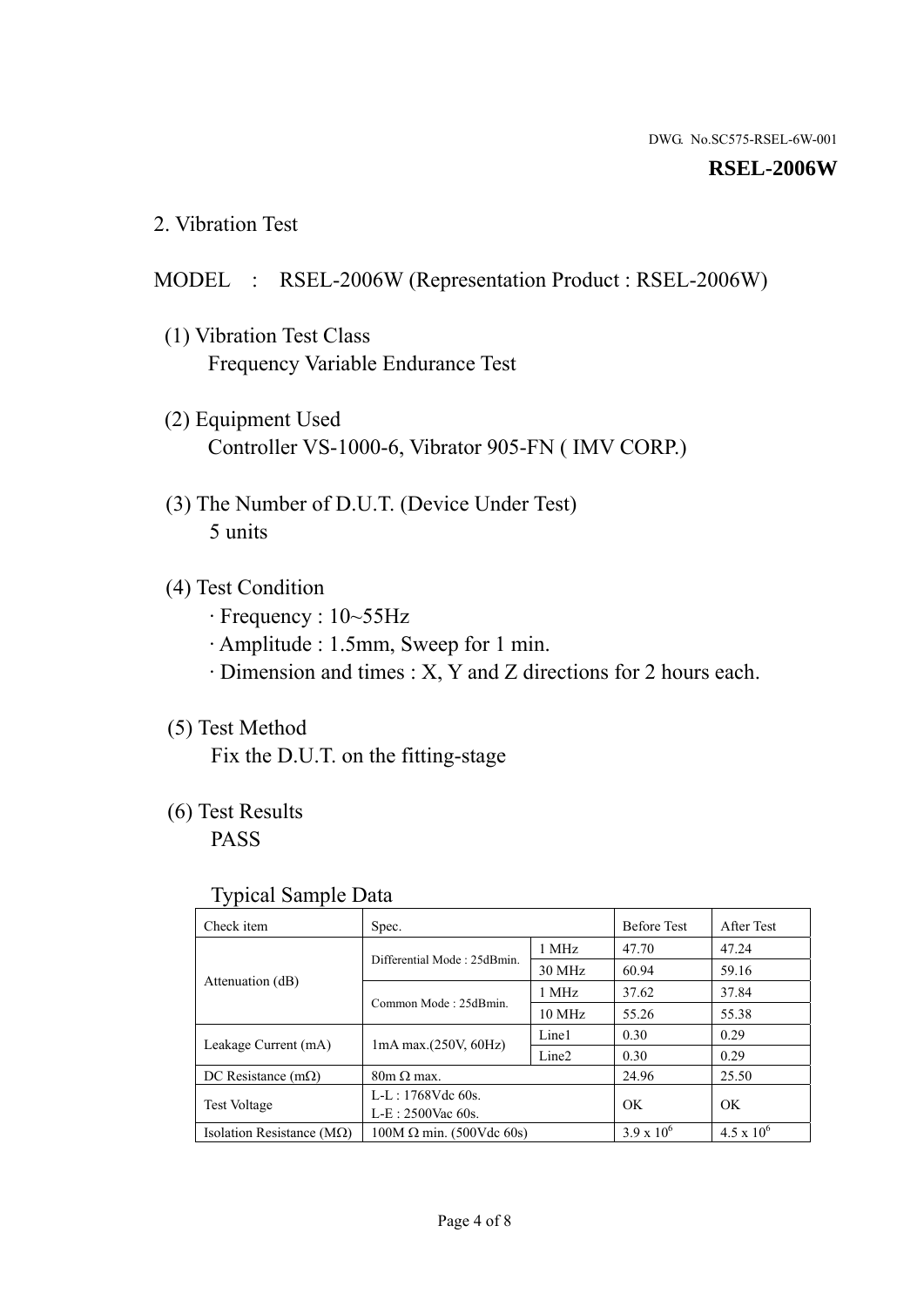#### **RSEL-2006W**

2. Vibration Test

### MODEL : RSEL-2006W (Representation Product : RSEL-2006W)

- (1) Vibration Test Class Frequency Variable Endurance Test
- (2) Equipment Used Controller VS-1000-6, Vibrator 905-FN ( IMV CORP.)
- (3) The Number of D.U.T. (Device Under Test) 5 units
- (4) Test Condition
	- · Frequency : 10~55Hz
	- · Amplitude : 1.5mm, Sweep for 1 min.
	- · Dimension and times : X, Y and Z directions for 2 hours each.

### (5) Test Method

Fix the D.U.T. on the fitting-stage

## (6) Test Results

PASS

#### Typical Sample Data

| ັ່                                 |                                                         |        |                     |                     |
|------------------------------------|---------------------------------------------------------|--------|---------------------|---------------------|
| Check item                         | Spec.                                                   |        | <b>Before Test</b>  | After Test          |
|                                    | Differential Mode: 25dBmin.                             | 1 MHz  | 47.70               | 47.24               |
|                                    |                                                         | 30 MHz | 60.94               | 59.16               |
| Attenuation (dB)                   | Common Mode: 25dBmin.                                   | 1 MHz  | 37.62               | 37.84               |
|                                    |                                                         | 10 MHz | 55.26               | 55.38               |
| Leakage Current (mA)               | Line1<br>$1mA$ max. $(250V, 60Hz)$<br>Line <sub>2</sub> |        | 0.30                | 0.29                |
|                                    |                                                         | 0.30   | 0.29                |                     |
| DC Resistance $(m\Omega)$          | $80m \Omega$ max.                                       |        | 24.96               | 25.50               |
| <b>Test Voltage</b>                | $L-L: 1768Vdc$ 60s.                                     |        | OK.                 | OK.                 |
|                                    | $L-E: 2500$ Vac 60s.                                    |        |                     |                     |
| Isolation Resistance ( $M\Omega$ ) | $100M \Omega$ min. (500Vdc 60s)                         |        | $3.9 \times 10^{6}$ | $4.5 \times 10^{6}$ |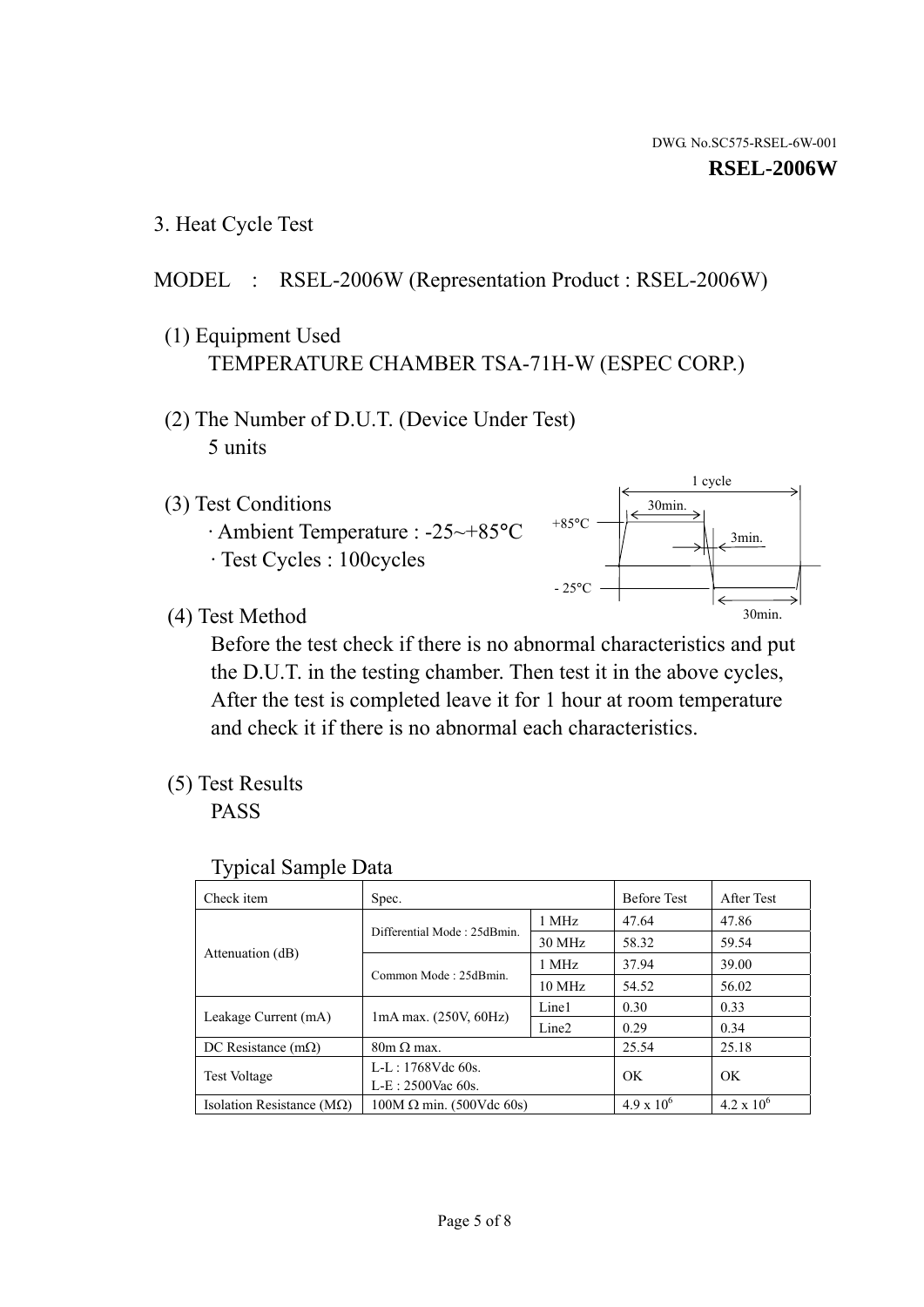1 cycle

30min.

3min.

30min.

3. Heat Cycle Test

## MODEL : RSEL-2006W (Representation Product : RSEL-2006W)

- (1) Equipment Used TEMPERATURE CHAMBER TSA-71H-W (ESPEC CORP.)
- (2) The Number of D.U.T. (Device Under Test) 5 units
- (3) Test Conditions
	- · Ambient Temperature : -25~+85°C · Test Cycles : 100cycles
- (4) Test Method

 Before the test check if there is no abnormal characteristics and put the D.U.T. in the testing chamber. Then test it in the above cycles, After the test is completed leave it for 1 hour at room temperature and check it if there is no abnormal each characteristics.

 $+85$ °C

 $-25^{\circ}$ C

(5) Test Results

PASS

| <b>Typical Sample Data</b> |  |  |
|----------------------------|--|--|
|----------------------------|--|--|

| Check item                    | Spec.                                         |                   | <b>Before Test</b>  | After Test          |
|-------------------------------|-----------------------------------------------|-------------------|---------------------|---------------------|
|                               | Differential Mode: 25dBmin.                   | 1 MHz             | 47.64               | 47.86               |
|                               |                                               | 30 MHz            | 58.32               | 59.54               |
| Attenuation (dB)              | Common Mode: 25dBmin.                         | 1 MHz             | 37.94               | 39.00               |
|                               |                                               | $10 \text{ MHz}$  | 54.52               | 56.02               |
|                               | 1mA max. (250V, 60Hz)<br>Leakage Current (mA) | Line1             | 0.30                | 0.33                |
|                               |                                               | Line <sub>2</sub> | 0.29                | 0.34                |
| DC Resistance $(m\Omega)$     | $80m \Omega$ max.                             |                   | 25.54               | 25.18               |
| <b>Test Voltage</b>           | $L-L: 1768Vdc$ 60s.                           |                   | OK                  | OK.                 |
|                               | $L-E: 2500$ Vac 60s.                          |                   |                     |                     |
| Isolation Resistance ( $MQ$ ) | $100M \Omega$ min. (500Vdc 60s)               |                   | $4.9 \times 10^{6}$ | $4.2 \times 10^{6}$ |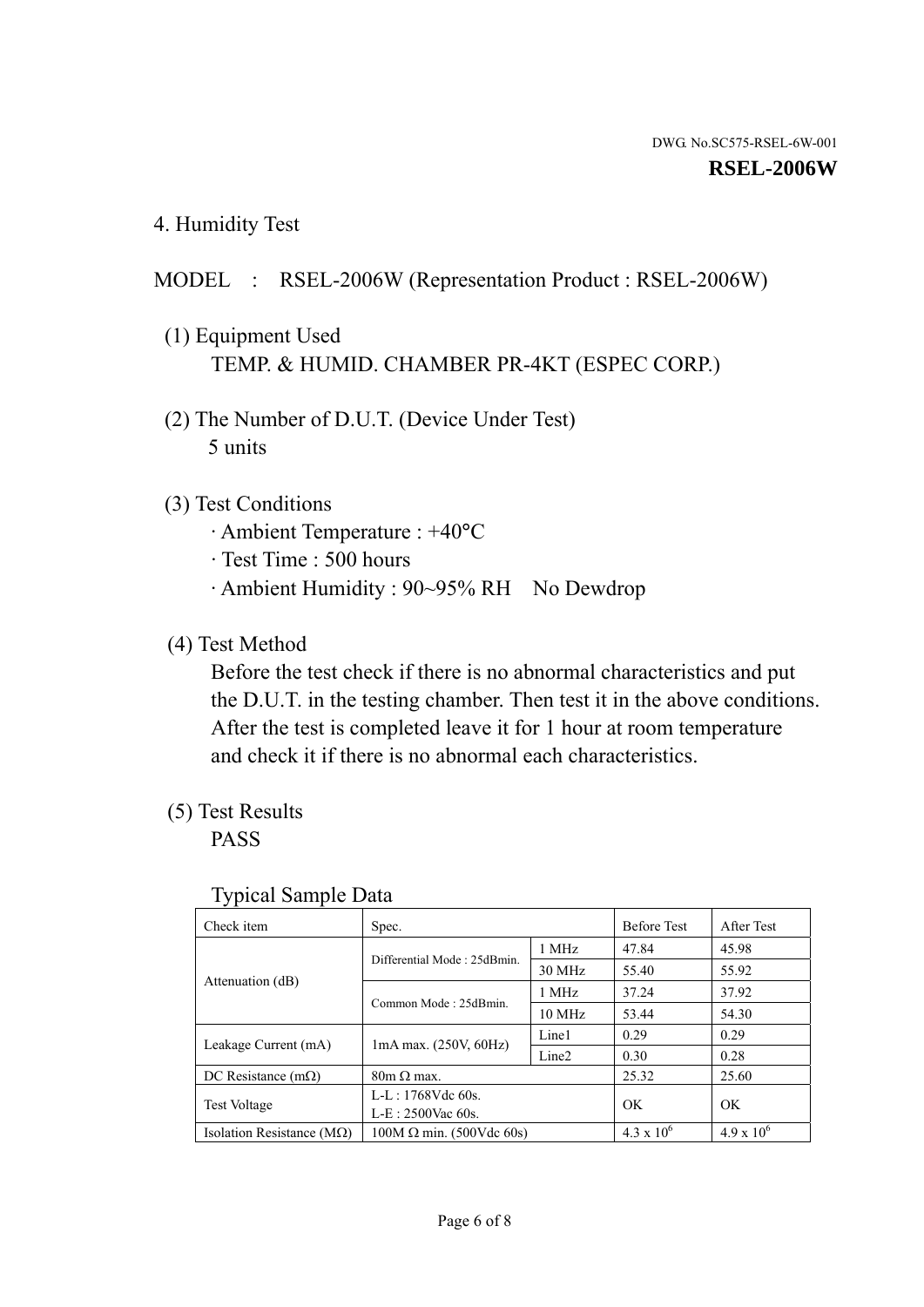4. Humidity Test

## MODEL : RSEL-2006W (Representation Product : RSEL-2006W)

- (1) Equipment Used TEMP. & HUMID. CHAMBER PR-4KT (ESPEC CORP.)
- (2) The Number of D.U.T. (Device Under Test) 5 units

### (3) Test Conditions

- · Ambient Temperature : +40°C
- · Test Time : 500 hours
- · Ambient Humidity : 90~95% RH No Dewdrop

## (4) Test Method

 Before the test check if there is no abnormal characteristics and put the D.U.T. in the testing chamber. Then test it in the above conditions. After the test is completed leave it for 1 hour at room temperature and check it if there is no abnormal each characteristics.

## (5) Test Results

PASS

| ┙┸                                 |                                 |                   |                     |                     |
|------------------------------------|---------------------------------|-------------------|---------------------|---------------------|
| Check item                         | Spec.                           |                   | <b>Before Test</b>  | After Test          |
|                                    | Differential Mode: 25dBmin.     | 1 MHz             | 47.84               | 45.98               |
|                                    |                                 | 30 MHz            | 55.40               | 55.92               |
| Attenuation (dB)                   | Common Mode: 25dBmin.           | 1 MHz             | 37.24               | 37.92               |
|                                    |                                 | 10 MHz            | 53.44               | 54.30               |
| Leakage Current (mA)               | $1mA$ max. $(250V, 60Hz)$       | Line1             | 0.29                | 0.29                |
|                                    |                                 | Line <sub>2</sub> | 0.30                | 0.28                |
| DC Resistance $(m\Omega)$          | $80m \Omega$ max.               |                   | 25.32               | 25.60               |
| <b>Test Voltage</b>                | $L-L: 1768Vdc$ 60s.             |                   | OK                  | OK                  |
|                                    | $L-E: 2500$ Vac 60s.            |                   |                     |                     |
| Isolation Resistance ( $M\Omega$ ) | $100M \Omega$ min. (500Vdc 60s) |                   | $4.3 \times 10^{6}$ | $4.9 \times 10^{6}$ |

#### Typical Sample Data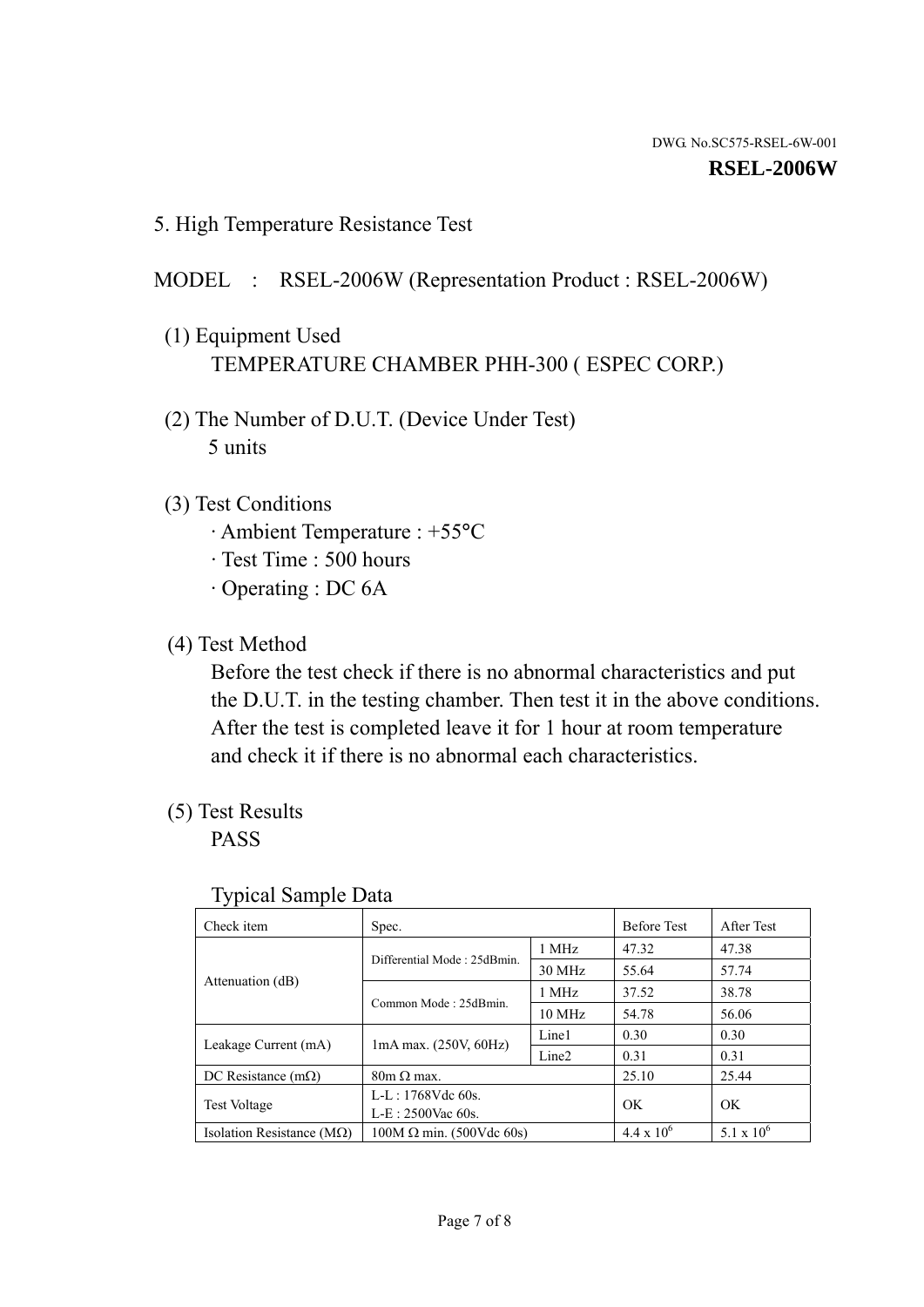5. High Temperature Resistance Test

#### MODEL : RSEL-2006W (Representation Product : RSEL-2006W)

- (1) Equipment Used TEMPERATURE CHAMBER PHH-300 ( ESPEC CORP.)
- (2) The Number of D.U.T. (Device Under Test) 5 units
- (3) Test Conditions
	- · Ambient Temperature : +55°C
	- · Test Time : 500 hours
	- · Operating : DC 6A
- (4) Test Method

 Before the test check if there is no abnormal characteristics and put the D.U.T. in the testing chamber. Then test it in the above conditions. After the test is completed leave it for 1 hour at room temperature and check it if there is no abnormal each characteristics.

(5) Test Results

PASS

| ╯┸                                 |                                                         |        |                     |                     |
|------------------------------------|---------------------------------------------------------|--------|---------------------|---------------------|
| Check item                         | Spec.                                                   |        | <b>Before Test</b>  | After Test          |
|                                    | Differential Mode: 25dBmin.                             | 1 MHz  | 47.32               | 47.38               |
|                                    |                                                         | 30 MHz | 55.64               | 57.74               |
| Attenuation (dB)                   | Common Mode: 25dBmin.                                   | 1 MHz  | 37.52               | 38.78               |
|                                    |                                                         | 10 MHz | 54.78               | 56.06               |
| Leakage Current (mA)               | Line1<br>$1mA$ max. $(250V, 60Hz)$<br>Line <sub>2</sub> |        | 0.30                | 0.30                |
|                                    |                                                         |        | 0.31                | 0.31                |
| DC Resistance $(m\Omega)$          | $80m \Omega$ max.                                       |        | 25.10               | 25.44               |
| <b>Test Voltage</b>                | $L-L: 1768Vdc$ 60s.                                     |        | OK                  | OK                  |
|                                    | $L-E: 2500$ Vac 60s.                                    |        |                     |                     |
| Isolation Resistance ( $M\Omega$ ) | $100M \Omega$ min. (500Vdc 60s)                         |        | $4.4 \times 10^{6}$ | $5.1 \times 10^{6}$ |

#### Typical Sample Data